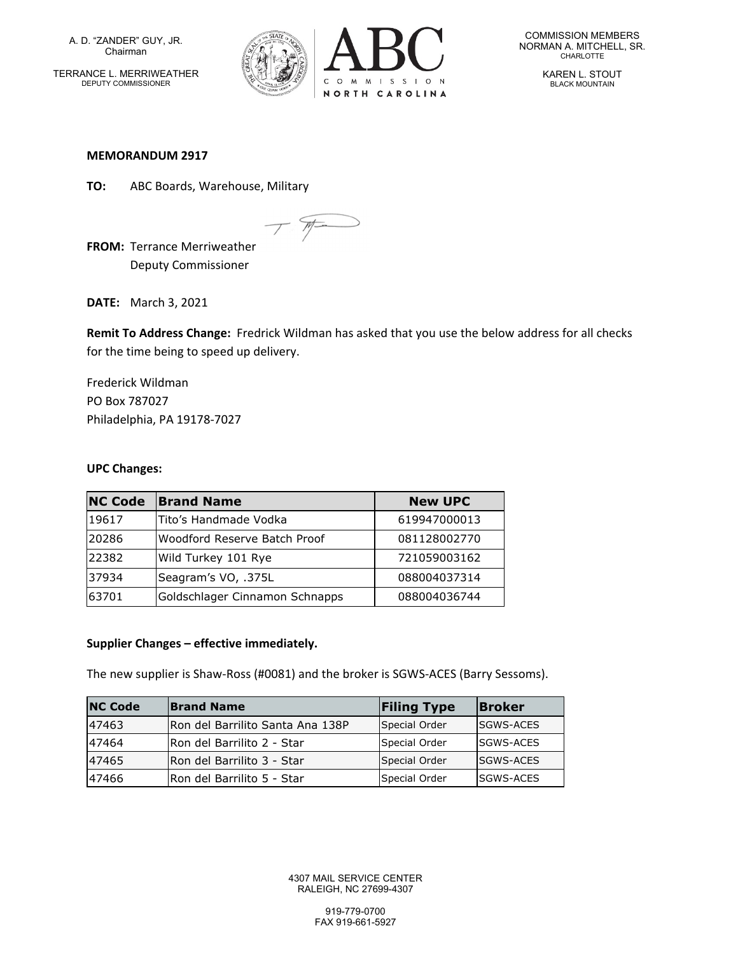A. D. "ZANDER" GUY, JR. Chairman

TERRANCE L. MERRIWEATHER DEPUTY COMMISSIONER



COMMISSION MEMBERS NORMAN A. MITCHELL, SR.<br>CHARLOTTE

> KAREN L. STOUT BLACK MOUNTAIN

### **MEMORANDUM 2917**

**TO:** ABC Boards, Warehouse, Military

W-

**FROM:** Terrance Merriweather Deputy Commissioner

**DATE:** March 3, 2021

**Remit To Address Change:** Fredrick Wildman has asked that you use the below address for all checks for the time being to speed up delivery.

Frederick Wildman PO Box 787027 Philadelphia, PA 19178‐7027

### **UPC Changes:**

| <b>NC Code</b> | <b>Brand Name</b>              | <b>New UPC</b> |
|----------------|--------------------------------|----------------|
| 19617          | lTito's Handmade Vodka         | 619947000013   |
| 20286          | Woodford Reserve Batch Proof   | 081128002770   |
| 22382          | Wild Turkey 101 Rye            | 721059003162   |
| 37934          | Seagram's VO, .375L            | 088004037314   |
| 63701          | Goldschlager Cinnamon Schnapps | 088004036744   |

## **Supplier Changes – effective immediately.**

The new supplier is Shaw‐Ross (#0081) and the broker is SGWS‐ACES (Barry Sessoms).

| <b>NC Code</b> | <b>Brand Name</b>                | <b>Filing Type</b> | <b>Broker</b>    |
|----------------|----------------------------------|--------------------|------------------|
| 47463          | Ron del Barrilito Santa Ana 138P | Special Order      | <b>SGWS-ACES</b> |
| 47464          | IRon del Barrilito 2 - Star      | Special Order      | <b>SGWS-ACES</b> |
| 47465          | IRon del Barrilito 3 - Star      | Special Order      | <b>SGWS-ACES</b> |
| 47466          | IRon del Barrilito 5 - Star      | Special Order      | <b>SGWS-ACES</b> |

4307 MAIL SERVICE CENTER RALEIGH, NC 27699-4307

> 919-779-0700 FAX 919-661-5927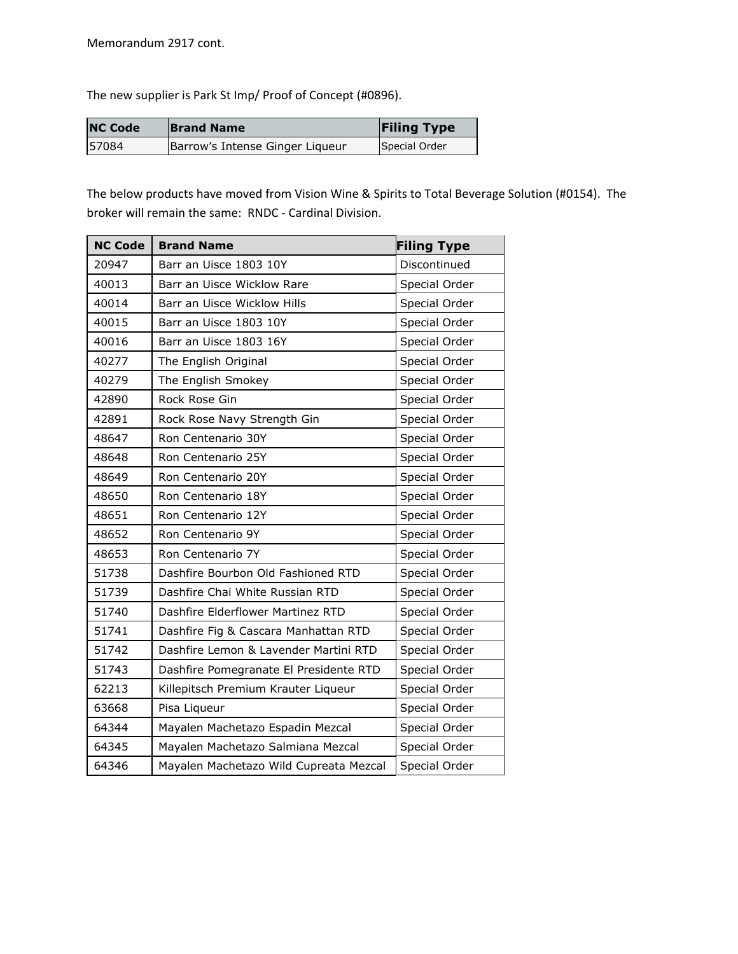The new supplier is Park St Imp/ Proof of Concept (#0896).

| <b>NC Code</b> | <b>Brand Name</b>               | <b>Filing Type</b> |
|----------------|---------------------------------|--------------------|
| 57084          | Barrow's Intense Ginger Liqueur | Special Order      |

The below products have moved from Vision Wine & Spirits to Total Beverage Solution (#0154). The broker will remain the same: RNDC ‐ Cardinal Division.

| <b>NC Code</b> | <b>Brand Name</b>                      | <b>Filing Type</b> |
|----------------|----------------------------------------|--------------------|
| 20947          | Barr an Uisce 1803 10Y                 | Discontinued       |
| 40013          | Barr an Uisce Wicklow Rare             | Special Order      |
| 40014          | Barr an Uisce Wicklow Hills            | Special Order      |
| 40015          | Barr an Uisce 1803 10Y                 | Special Order      |
| 40016          | Barr an Uisce 1803 16Y                 | Special Order      |
| 40277          | The English Original                   | Special Order      |
| 40279          | The English Smokey                     | Special Order      |
| 42890          | Rock Rose Gin                          | Special Order      |
| 42891          | Rock Rose Navy Strength Gin            | Special Order      |
| 48647          | Ron Centenario 30Y                     | Special Order      |
| 48648          | Ron Centenario 25Y                     | Special Order      |
| 48649          | Ron Centenario 20Y                     | Special Order      |
| 48650          | Ron Centenario 18Y                     | Special Order      |
| 48651          | Ron Centenario 12Y                     | Special Order      |
| 48652          | Ron Centenario 9Y                      | Special Order      |
| 48653          | Ron Centenario 7Y                      | Special Order      |
| 51738          | Dashfire Bourbon Old Fashioned RTD     | Special Order      |
| 51739          | Dashfire Chai White Russian RTD        | Special Order      |
| 51740          | Dashfire Elderflower Martinez RTD      | Special Order      |
| 51741          | Dashfire Fig & Cascara Manhattan RTD   | Special Order      |
| 51742          | Dashfire Lemon & Lavender Martini RTD  | Special Order      |
| 51743          | Dashfire Pomegranate El Presidente RTD | Special Order      |
| 62213          | Killepitsch Premium Krauter Liqueur    | Special Order      |
| 63668          | Pisa Liqueur                           | Special Order      |
| 64344          | Mayalen Machetazo Espadin Mezcal       | Special Order      |
| 64345          | Mayalen Machetazo Salmiana Mezcal      | Special Order      |
| 64346          | Mayalen Machetazo Wild Cupreata Mezcal | Special Order      |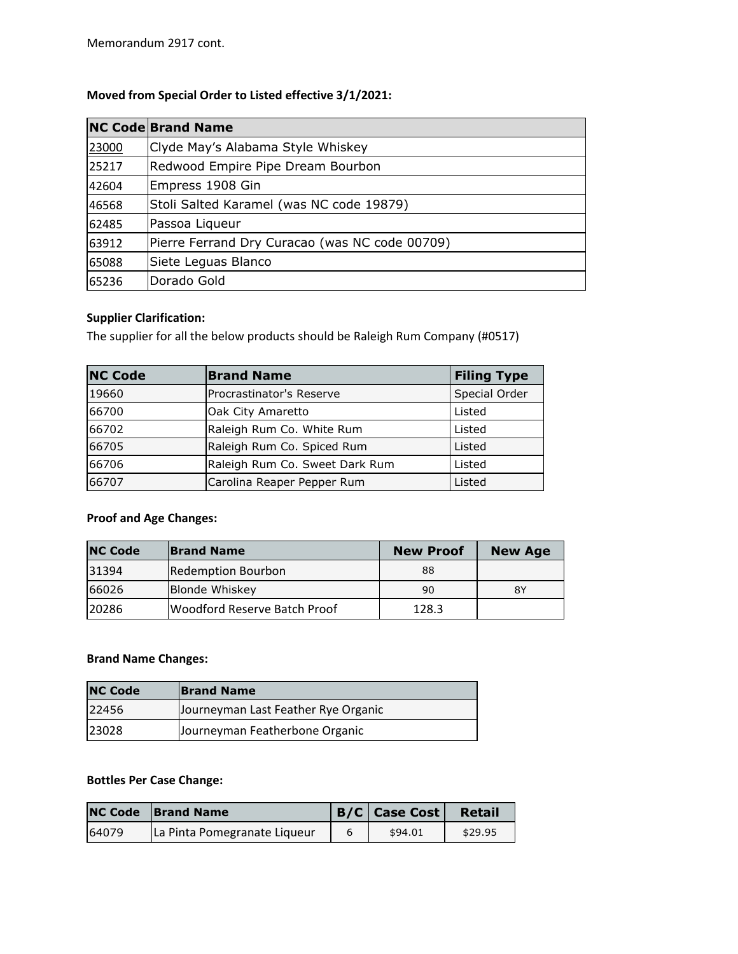# **Moved from Special Order to Listed effective 3/1/2021:**

|       | <b>NC Code Brand Name</b>                      |
|-------|------------------------------------------------|
| 23000 | Clyde May's Alabama Style Whiskey              |
| 25217 | Redwood Empire Pipe Dream Bourbon              |
| 42604 | Empress 1908 Gin                               |
| 46568 | Stoli Salted Karamel (was NC code 19879)       |
| 62485 | Passoa Liqueur                                 |
| 63912 | Pierre Ferrand Dry Curacao (was NC code 00709) |
| 65088 | Siete Leguas Blanco                            |
| 65236 | Dorado Gold                                    |

# **Supplier Clarification:**

The supplier for all the below products should be Raleigh Rum Company (#0517)

| <b>NC Code</b> | <b>Brand Name</b>              | <b>Filing Type</b> |
|----------------|--------------------------------|--------------------|
| 19660          | lProcrastinator's Reserve      | Special Order      |
| 66700          | Oak City Amaretto              | Listed             |
| 66702          | Raleigh Rum Co. White Rum      | Listed             |
| 66705          | Raleigh Rum Co. Spiced Rum     | Listed             |
| 66706          | Raleigh Rum Co. Sweet Dark Rum | Listed             |
| 66707          | Carolina Reaper Pepper Rum     | Listed             |

# **Proof and Age Changes:**

| <b>NC Code</b> | <b>Brand Name</b>                   | <b>New Proof</b> | <b>New Age</b> |
|----------------|-------------------------------------|------------------|----------------|
| 31394          | Redemption Bourbon                  | 88               |                |
| 66026          | Blonde Whiskey                      | 90               | 8Y             |
| 120286         | <b>Woodford Reserve Batch Proof</b> | 128.3            |                |

## **Brand Name Changes:**

| <b>NC Code</b> | <b>Brand Name</b>                   |
|----------------|-------------------------------------|
| 22456          | Journeyman Last Feather Rye Organic |
| 23028          | Journeyman Featherbone Organic      |

### **Bottles Per Case Change:**

|       | <b>NC Code</b> Brand Name    | $B/C$ Case Cost | Retail  |
|-------|------------------------------|-----------------|---------|
| 64079 | La Pinta Pomegranate Liqueur | \$94.01         | \$29.95 |